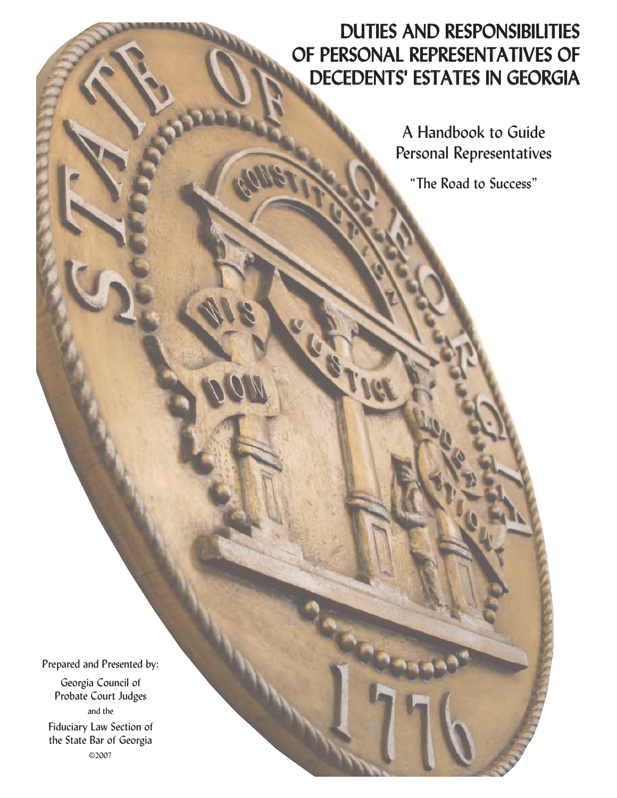## DUTIES AND RESPONSIBILITIES OF PERSONAL REPRESENTATIVES OF DECEDENTS' ESTATES IN GEORGIA

A Handbook to Guide Personal Representatives

"The Road to Success"

Prepared and Presented by:

Georgia Council of Probate Court Judges and the Fiduciary Law Section of the State Bar of Georgia ©2007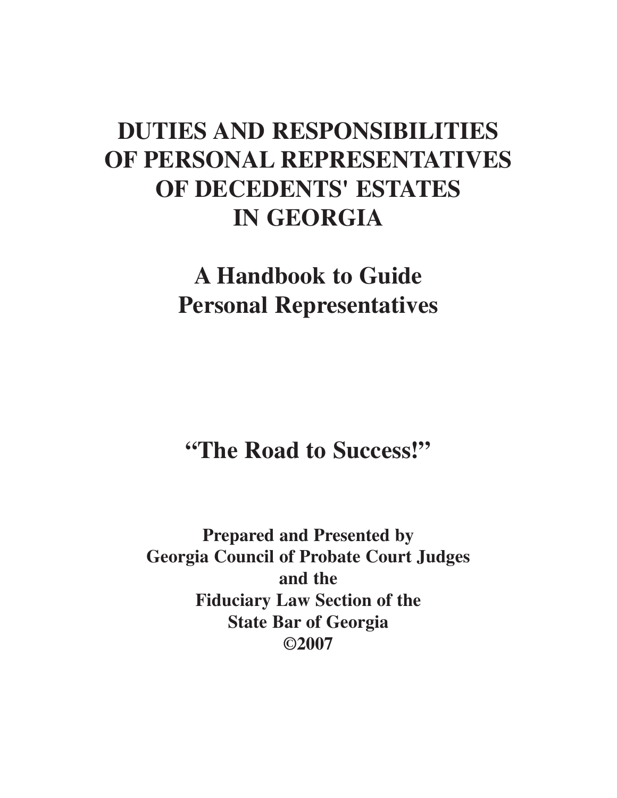# **DUTIES AND RESPONSIBILITIES OF PERSONAL REPRESENTATIVES OF DECEDENTS' ESTATES IN GEORGIA**

# **A Handbook to Guide Personal Representatives**

**"The Road to Success!"**

**Prepared and Presented by Georgia Council of Probate Court Judges and the Fiduciary Law Section of the State Bar of Georgia ©2007**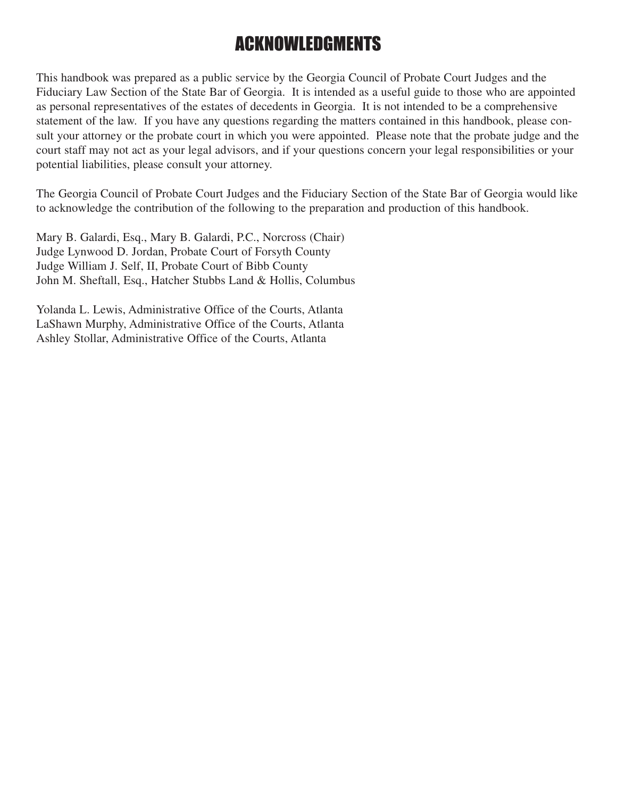# ACKNOWLEDGMENTS

This handbook was prepared as a public service by the Georgia Council of Probate Court Judges and the Fiduciary Law Section of the State Bar of Georgia. It is intended as a useful guide to those who are appointed as personal representatives of the estates of decedents in Georgia. It is not intended to be a comprehensive statement of the law. If you have any questions regarding the matters contained in this handbook, please consult your attorney or the probate court in which you were appointed. Please note that the probate judge and the court staff may not act as your legal advisors, and if your questions concern your legal responsibilities or your potential liabilities, please consult your attorney.

The Georgia Council of Probate Court Judges and the Fiduciary Section of the State Bar of Georgia would like to acknowledge the contribution of the following to the preparation and production of this handbook.

Mary B. Galardi, Esq., Mary B. Galardi, P.C., Norcross (Chair) Judge Lynwood D. Jordan, Probate Court of Forsyth County Judge William J. Self, II, Probate Court of Bibb County John M. Sheftall, Esq., Hatcher Stubbs Land & Hollis, Columbus

Yolanda L. Lewis, Administrative Office of the Courts, Atlanta LaShawn Murphy, Administrative Office of the Courts, Atlanta Ashley Stollar, Administrative Office of the Courts, Atlanta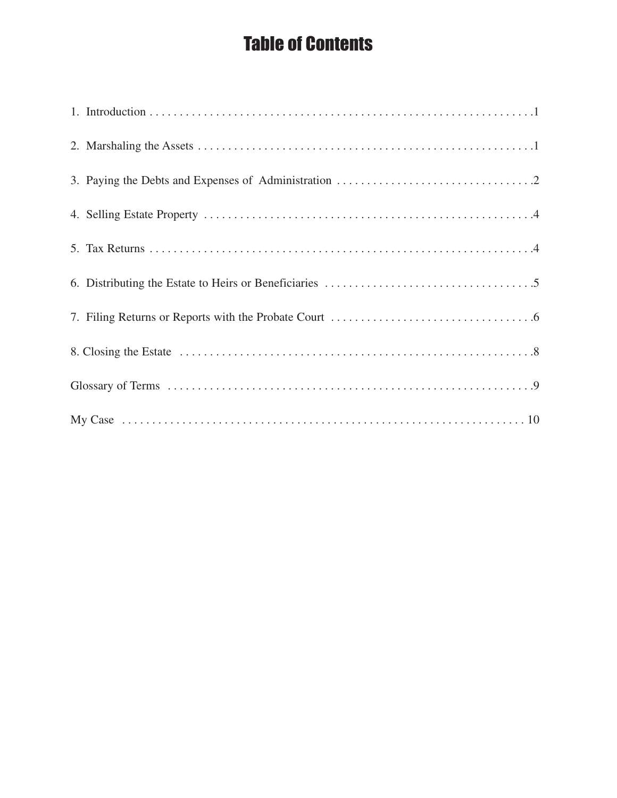# Table of Contents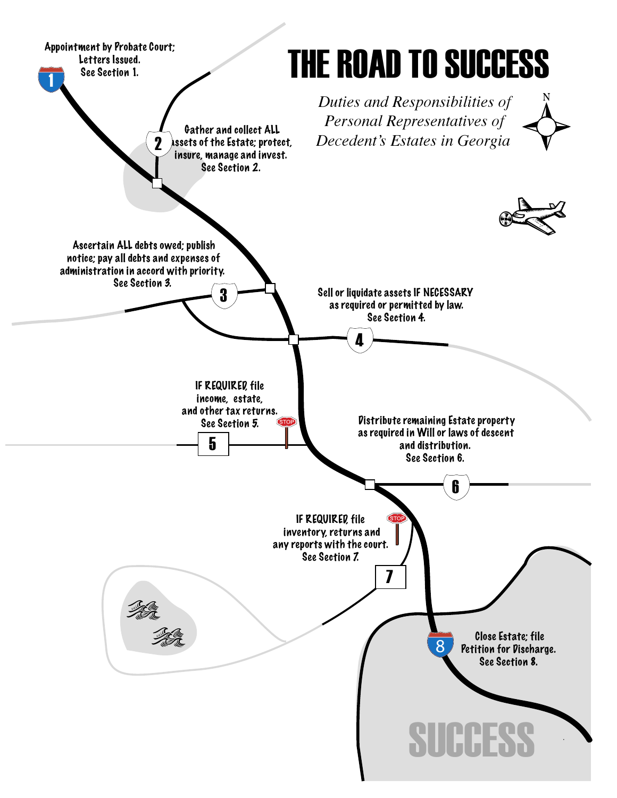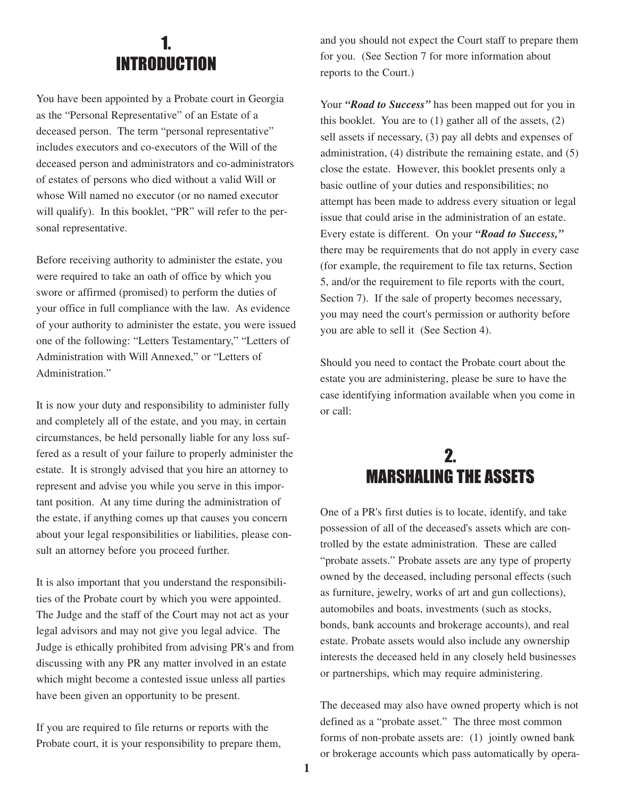#### 1. INTRODUCTION

You have been appointed by a Probate court in Georgia as the "Personal Representative" of an Estate of a deceased person. The term "personal representative" includes executors and co-executors of the Will of the deceased person and administrators and co-administrators of estates of persons who died without a valid Will or whose Will named no executor (or no named executor will qualify). In this booklet, "PR" will refer to the personal representative.

Before receiving authority to administer the estate, you were required to take an oath of office by which you swore or affirmed (promised) to perform the duties of your office in full compliance with the law. As evidence of your authority to administer the estate, you were issued one of the following: "Letters Testamentary," "Letters of Administration with Will Annexed," or "Letters of Administration."

It is now your duty and responsibility to administer fully and completely all of the estate, and you may, in certain circumstances, be held personally liable for any loss suffered as a result of your failure to properly administer the estate. It is strongly advised that you hire an attorney to represent and advise you while you serve in this important position. At any time during the administration of the estate, if anything comes up that causes you concern about your legal responsibilities or liabilities, please consult an attorney before you proceed further.

It is also important that you understand the responsibilities of the Probate court by which you were appointed. The Judge and the staff of the Court may not act as your legal advisors and may not give you legal advice. The Judge is ethically prohibited from advising PR's and from discussing with any PR any matter involved in an estate which might become a contested issue unless all parties have been given an opportunity to be present.

If you are required to file returns or reports with the Probate court, it is your responsibility to prepare them, and you should not expect the Court staff to prepare them for you. (See Section 7 for more information about reports to the Court.)

Your *"Road to Success"* has been mapped out for you in this booklet. You are to (1) gather all of the assets, (2) sell assets if necessary, (3) pay all debts and expenses of administration, (4) distribute the remaining estate, and (5) close the estate. However, this booklet presents only a basic outline of your duties and responsibilities; no attempt has been made to address every situation or legal issue that could arise in the administration of an estate. Every estate is different. On your *"Road to Success,"* there may be requirements that do not apply in every case (for example, the requirement to file tax returns, Section 5, and/or the requirement to file reports with the court, Section 7). If the sale of property becomes necessary, you may need the court's permission or authority before you are able to sell it (See Section 4).

Should you need to contact the Probate court about the estate you are administering, please be sure to have the case identifying information available when you come in or call:

### 2. MARSHALING THE ASSETS

One of a PR's first duties is to locate, identify, and take possession of all of the deceased's assets which are controlled by the estate administration. These are called "probate assets." Probate assets are any type of property owned by the deceased, including personal effects (such as furniture, jewelry, works of art and gun collections), automobiles and boats, investments (such as stocks, bonds, bank accounts and brokerage accounts), and real estate. Probate assets would also include any ownership interests the deceased held in any closely held businesses or partnerships, which may require administering.

The deceased may also have owned property which is not defined as a "probate asset." The three most common forms of non-probate assets are: (1) jointly owned bank or brokerage accounts which pass automatically by opera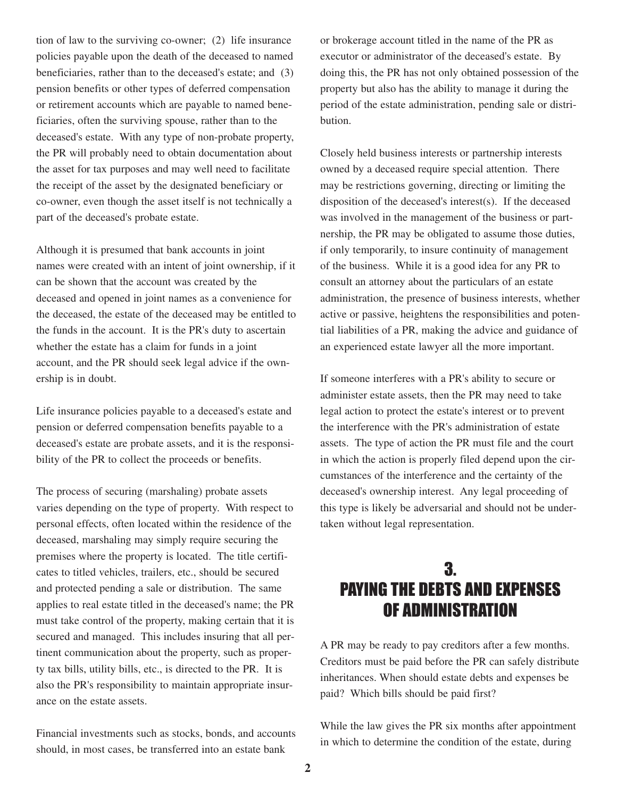tion of law to the surviving co-owner; (2) life insurance policies payable upon the death of the deceased to named beneficiaries, rather than to the deceased's estate; and (3) pension benefits or other types of deferred compensation or retirement accounts which are payable to named beneficiaries, often the surviving spouse, rather than to the deceased's estate. With any type of non-probate property, the PR will probably need to obtain documentation about the asset for tax purposes and may well need to facilitate the receipt of the asset by the designated beneficiary or co-owner, even though the asset itself is not technically a part of the deceased's probate estate.

Although it is presumed that bank accounts in joint names were created with an intent of joint ownership, if it can be shown that the account was created by the deceased and opened in joint names as a convenience for the deceased, the estate of the deceased may be entitled to the funds in the account. It is the PR's duty to ascertain whether the estate has a claim for funds in a joint account, and the PR should seek legal advice if the ownership is in doubt.

Life insurance policies payable to a deceased's estate and pension or deferred compensation benefits payable to a deceased's estate are probate assets, and it is the responsibility of the PR to collect the proceeds or benefits.

The process of securing (marshaling) probate assets varies depending on the type of property. With respect to personal effects, often located within the residence of the deceased, marshaling may simply require securing the premises where the property is located. The title certificates to titled vehicles, trailers, etc., should be secured and protected pending a sale or distribution. The same applies to real estate titled in the deceased's name; the PR must take control of the property, making certain that it is secured and managed. This includes insuring that all pertinent communication about the property, such as property tax bills, utility bills, etc., is directed to the PR. It is also the PR's responsibility to maintain appropriate insurance on the estate assets.

Financial investments such as stocks, bonds, and accounts should, in most cases, be transferred into an estate bank

or brokerage account titled in the name of the PR as executor or administrator of the deceased's estate. By doing this, the PR has not only obtained possession of the property but also has the ability to manage it during the period of the estate administration, pending sale or distribution.

Closely held business interests or partnership interests owned by a deceased require special attention. There may be restrictions governing, directing or limiting the disposition of the deceased's interest(s). If the deceased was involved in the management of the business or partnership, the PR may be obligated to assume those duties, if only temporarily, to insure continuity of management of the business. While it is a good idea for any PR to consult an attorney about the particulars of an estate administration, the presence of business interests, whether active or passive, heightens the responsibilities and potential liabilities of a PR, making the advice and guidance of an experienced estate lawyer all the more important.

If someone interferes with a PR's ability to secure or administer estate assets, then the PR may need to take legal action to protect the estate's interest or to prevent the interference with the PR's administration of estate assets. The type of action the PR must file and the court in which the action is properly filed depend upon the circumstances of the interference and the certainty of the deceased's ownership interest. Any legal proceeding of this type is likely be adversarial and should not be undertaken without legal representation.

#### 3. PAYING THE DEBTS AND EXPENSES OF ADMINISTRATION

A PR may be ready to pay creditors after a few months. Creditors must be paid before the PR can safely distribute inheritances. When should estate debts and expenses be paid? Which bills should be paid first?

While the law gives the PR six months after appointment in which to determine the condition of the estate, during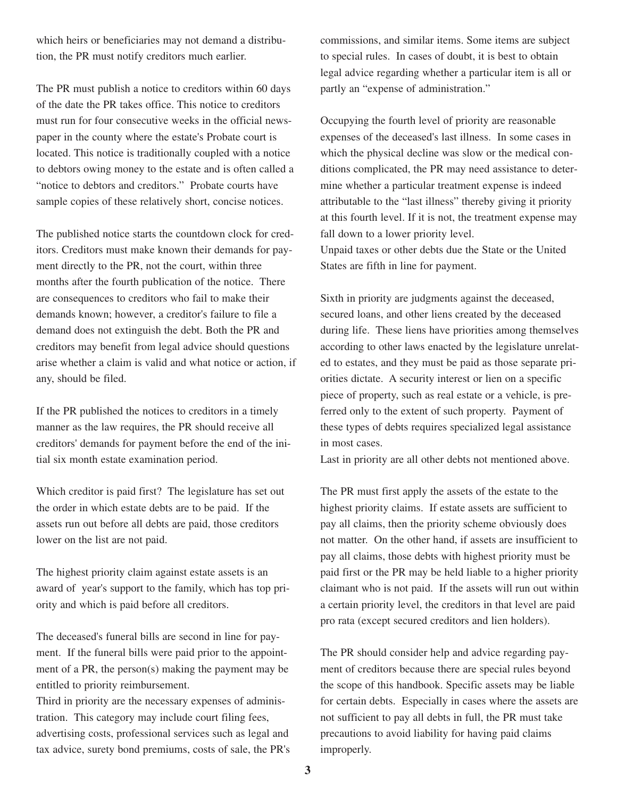which heirs or beneficiaries may not demand a distribution, the PR must notify creditors much earlier.

The PR must publish a notice to creditors within 60 days of the date the PR takes office. This notice to creditors must run for four consecutive weeks in the official newspaper in the county where the estate's Probate court is located. This notice is traditionally coupled with a notice to debtors owing money to the estate and is often called a "notice to debtors and creditors." Probate courts have sample copies of these relatively short, concise notices.

The published notice starts the countdown clock for creditors. Creditors must make known their demands for payment directly to the PR, not the court, within three months after the fourth publication of the notice. There are consequences to creditors who fail to make their demands known; however, a creditor's failure to file a demand does not extinguish the debt. Both the PR and creditors may benefit from legal advice should questions arise whether a claim is valid and what notice or action, if any, should be filed.

If the PR published the notices to creditors in a timely manner as the law requires, the PR should receive all creditors' demands for payment before the end of the initial six month estate examination period.

Which creditor is paid first? The legislature has set out the order in which estate debts are to be paid. If the assets run out before all debts are paid, those creditors lower on the list are not paid.

The highest priority claim against estate assets is an award of year's support to the family, which has top priority and which is paid before all creditors.

The deceased's funeral bills are second in line for payment. If the funeral bills were paid prior to the appointment of a PR, the person(s) making the payment may be entitled to priority reimbursement.

Third in priority are the necessary expenses of administration. This category may include court filing fees, advertising costs, professional services such as legal and tax advice, surety bond premiums, costs of sale, the PR's commissions, and similar items. Some items are subject to special rules. In cases of doubt, it is best to obtain legal advice regarding whether a particular item is all or partly an "expense of administration."

Occupying the fourth level of priority are reasonable expenses of the deceased's last illness. In some cases in which the physical decline was slow or the medical conditions complicated, the PR may need assistance to determine whether a particular treatment expense is indeed attributable to the "last illness" thereby giving it priority at this fourth level. If it is not, the treatment expense may fall down to a lower priority level. Unpaid taxes or other debts due the State or the United States are fifth in line for payment.

Sixth in priority are judgments against the deceased, secured loans, and other liens created by the deceased during life. These liens have priorities among themselves according to other laws enacted by the legislature unrelated to estates, and they must be paid as those separate priorities dictate. A security interest or lien on a specific piece of property, such as real estate or a vehicle, is preferred only to the extent of such property. Payment of these types of debts requires specialized legal assistance in most cases.

Last in priority are all other debts not mentioned above.

The PR must first apply the assets of the estate to the highest priority claims. If estate assets are sufficient to pay all claims, then the priority scheme obviously does not matter. On the other hand, if assets are insufficient to pay all claims, those debts with highest priority must be paid first or the PR may be held liable to a higher priority claimant who is not paid. If the assets will run out within a certain priority level, the creditors in that level are paid pro rata (except secured creditors and lien holders).

The PR should consider help and advice regarding payment of creditors because there are special rules beyond the scope of this handbook. Specific assets may be liable for certain debts. Especially in cases where the assets are not sufficient to pay all debts in full, the PR must take precautions to avoid liability for having paid claims improperly.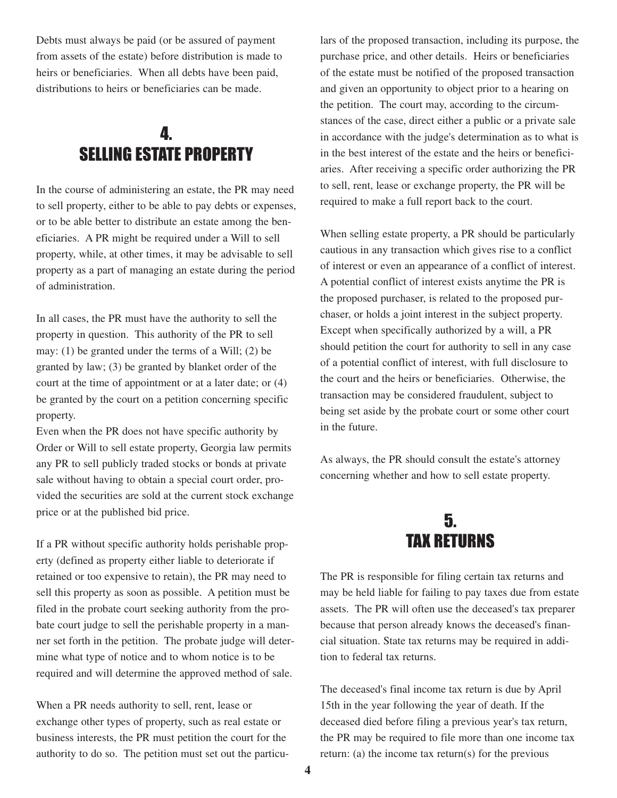Debts must always be paid (or be assured of payment from assets of the estate) before distribution is made to heirs or beneficiaries. When all debts have been paid, distributions to heirs or beneficiaries can be made.

#### 4. SELLING ESTATE PROPERTY

In the course of administering an estate, the PR may need to sell property, either to be able to pay debts or expenses, or to be able better to distribute an estate among the beneficiaries. A PR might be required under a Will to sell property, while, at other times, it may be advisable to sell property as a part of managing an estate during the period of administration.

In all cases, the PR must have the authority to sell the property in question. This authority of the PR to sell may: (1) be granted under the terms of a Will; (2) be granted by law; (3) be granted by blanket order of the court at the time of appointment or at a later date; or (4) be granted by the court on a petition concerning specific property.

Even when the PR does not have specific authority by Order or Will to sell estate property, Georgia law permits any PR to sell publicly traded stocks or bonds at private sale without having to obtain a special court order, provided the securities are sold at the current stock exchange price or at the published bid price.

If a PR without specific authority holds perishable property (defined as property either liable to deteriorate if retained or too expensive to retain), the PR may need to sell this property as soon as possible. A petition must be filed in the probate court seeking authority from the probate court judge to sell the perishable property in a manner set forth in the petition. The probate judge will determine what type of notice and to whom notice is to be required and will determine the approved method of sale.

When a PR needs authority to sell, rent, lease or exchange other types of property, such as real estate or business interests, the PR must petition the court for the authority to do so. The petition must set out the particulars of the proposed transaction, including its purpose, the purchase price, and other details. Heirs or beneficiaries of the estate must be notified of the proposed transaction and given an opportunity to object prior to a hearing on the petition. The court may, according to the circumstances of the case, direct either a public or a private sale in accordance with the judge's determination as to what is in the best interest of the estate and the heirs or beneficiaries. After receiving a specific order authorizing the PR to sell, rent, lease or exchange property, the PR will be required to make a full report back to the court.

When selling estate property, a PR should be particularly cautious in any transaction which gives rise to a conflict of interest or even an appearance of a conflict of interest. A potential conflict of interest exists anytime the PR is the proposed purchaser, is related to the proposed purchaser, or holds a joint interest in the subject property. Except when specifically authorized by a will, a PR should petition the court for authority to sell in any case of a potential conflict of interest, with full disclosure to the court and the heirs or beneficiaries. Otherwise, the transaction may be considered fraudulent, subject to being set aside by the probate court or some other court in the future.

As always, the PR should consult the estate's attorney concerning whether and how to sell estate property.



The PR is responsible for filing certain tax returns and may be held liable for failing to pay taxes due from estate assets. The PR will often use the deceased's tax preparer because that person already knows the deceased's financial situation. State tax returns may be required in addition to federal tax returns.

The deceased's final income tax return is due by April 15th in the year following the year of death. If the deceased died before filing a previous year's tax return, the PR may be required to file more than one income tax return: (a) the income tax return(s) for the previous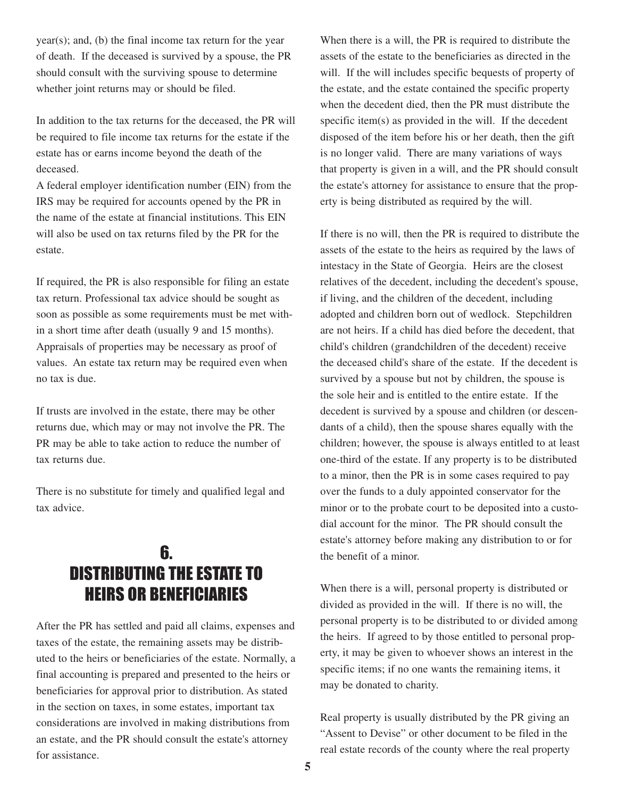year(s); and, (b) the final income tax return for the year of death. If the deceased is survived by a spouse, the PR should consult with the surviving spouse to determine whether joint returns may or should be filed.

In addition to the tax returns for the deceased, the PR will be required to file income tax returns for the estate if the estate has or earns income beyond the death of the deceased.

A federal employer identification number (EIN) from the IRS may be required for accounts opened by the PR in the name of the estate at financial institutions. This EIN will also be used on tax returns filed by the PR for the estate.

If required, the PR is also responsible for filing an estate tax return. Professional tax advice should be sought as soon as possible as some requirements must be met within a short time after death (usually 9 and 15 months). Appraisals of properties may be necessary as proof of values. An estate tax return may be required even when no tax is due.

If trusts are involved in the estate, there may be other returns due, which may or may not involve the PR. The PR may be able to take action to reduce the number of tax returns due.

There is no substitute for timely and qualified legal and tax advice.

#### 6. DISTRIBUTING THE ESTATE TO HEIRS OR BENEFICIARIES

After the PR has settled and paid all claims, expenses and taxes of the estate, the remaining assets may be distributed to the heirs or beneficiaries of the estate. Normally, a final accounting is prepared and presented to the heirs or beneficiaries for approval prior to distribution. As stated in the section on taxes, in some estates, important tax considerations are involved in making distributions from an estate, and the PR should consult the estate's attorney for assistance.

When there is a will, the PR is required to distribute the assets of the estate to the beneficiaries as directed in the will. If the will includes specific bequests of property of the estate, and the estate contained the specific property when the decedent died, then the PR must distribute the specific item(s) as provided in the will. If the decedent disposed of the item before his or her death, then the gift is no longer valid. There are many variations of ways that property is given in a will, and the PR should consult the estate's attorney for assistance to ensure that the property is being distributed as required by the will.

If there is no will, then the PR is required to distribute the assets of the estate to the heirs as required by the laws of intestacy in the State of Georgia. Heirs are the closest relatives of the decedent, including the decedent's spouse, if living, and the children of the decedent, including adopted and children born out of wedlock. Stepchildren are not heirs. If a child has died before the decedent, that child's children (grandchildren of the decedent) receive the deceased child's share of the estate. If the decedent is survived by a spouse but not by children, the spouse is the sole heir and is entitled to the entire estate. If the decedent is survived by a spouse and children (or descendants of a child), then the spouse shares equally with the children; however, the spouse is always entitled to at least one-third of the estate. If any property is to be distributed to a minor, then the PR is in some cases required to pay over the funds to a duly appointed conservator for the minor or to the probate court to be deposited into a custodial account for the minor. The PR should consult the estate's attorney before making any distribution to or for the benefit of a minor.

When there is a will, personal property is distributed or divided as provided in the will. If there is no will, the personal property is to be distributed to or divided among the heirs. If agreed to by those entitled to personal property, it may be given to whoever shows an interest in the specific items; if no one wants the remaining items, it may be donated to charity.

Real property is usually distributed by the PR giving an "Assent to Devise" or other document to be filed in the real estate records of the county where the real property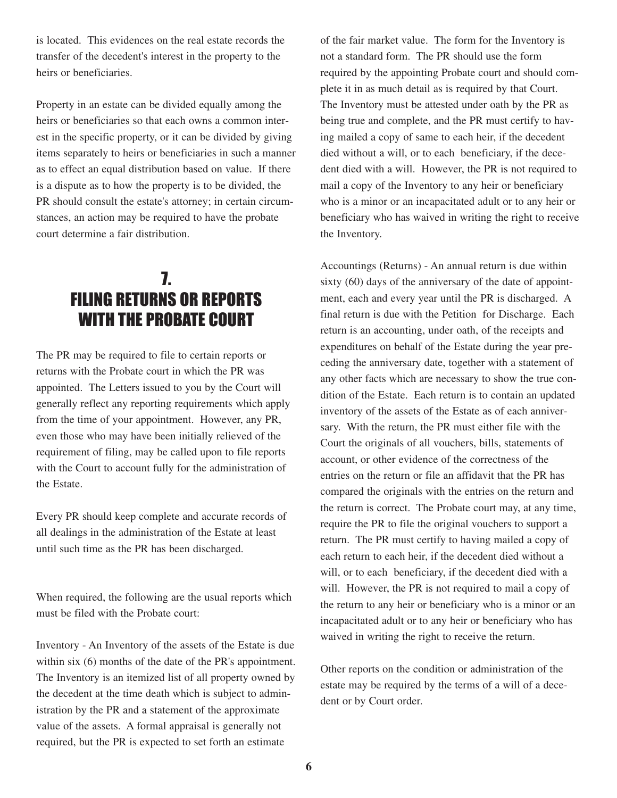is located. This evidences on the real estate records the transfer of the decedent's interest in the property to the heirs or beneficiaries.

Property in an estate can be divided equally among the heirs or beneficiaries so that each owns a common interest in the specific property, or it can be divided by giving items separately to heirs or beneficiaries in such a manner as to effect an equal distribution based on value. If there is a dispute as to how the property is to be divided, the PR should consult the estate's attorney; in certain circumstances, an action may be required to have the probate court determine a fair distribution.

### 7. FILING RETURNS OR REPORTS WITH THE PROBATE COURT

The PR may be required to file to certain reports or returns with the Probate court in which the PR was appointed. The Letters issued to you by the Court will generally reflect any reporting requirements which apply from the time of your appointment. However, any PR, even those who may have been initially relieved of the requirement of filing, may be called upon to file reports with the Court to account fully for the administration of the Estate.

Every PR should keep complete and accurate records of all dealings in the administration of the Estate at least until such time as the PR has been discharged.

When required, the following are the usual reports which must be filed with the Probate court:

Inventory - An Inventory of the assets of the Estate is due within six (6) months of the date of the PR's appointment. The Inventory is an itemized list of all property owned by the decedent at the time death which is subject to administration by the PR and a statement of the approximate value of the assets. A formal appraisal is generally not required, but the PR is expected to set forth an estimate

of the fair market value. The form for the Inventory is not a standard form. The PR should use the form required by the appointing Probate court and should complete it in as much detail as is required by that Court. The Inventory must be attested under oath by the PR as being true and complete, and the PR must certify to having mailed a copy of same to each heir, if the decedent died without a will, or to each beneficiary, if the decedent died with a will. However, the PR is not required to mail a copy of the Inventory to any heir or beneficiary who is a minor or an incapacitated adult or to any heir or beneficiary who has waived in writing the right to receive the Inventory.

Accountings (Returns) - An annual return is due within sixty (60) days of the anniversary of the date of appointment, each and every year until the PR is discharged. A final return is due with the Petition for Discharge. Each return is an accounting, under oath, of the receipts and expenditures on behalf of the Estate during the year preceding the anniversary date, together with a statement of any other facts which are necessary to show the true condition of the Estate. Each return is to contain an updated inventory of the assets of the Estate as of each anniversary. With the return, the PR must either file with the Court the originals of all vouchers, bills, statements of account, or other evidence of the correctness of the entries on the return or file an affidavit that the PR has compared the originals with the entries on the return and the return is correct. The Probate court may, at any time, require the PR to file the original vouchers to support a return. The PR must certify to having mailed a copy of each return to each heir, if the decedent died without a will, or to each beneficiary, if the decedent died with a will. However, the PR is not required to mail a copy of the return to any heir or beneficiary who is a minor or an incapacitated adult or to any heir or beneficiary who has waived in writing the right to receive the return.

Other reports on the condition or administration of the estate may be required by the terms of a will of a decedent or by Court order.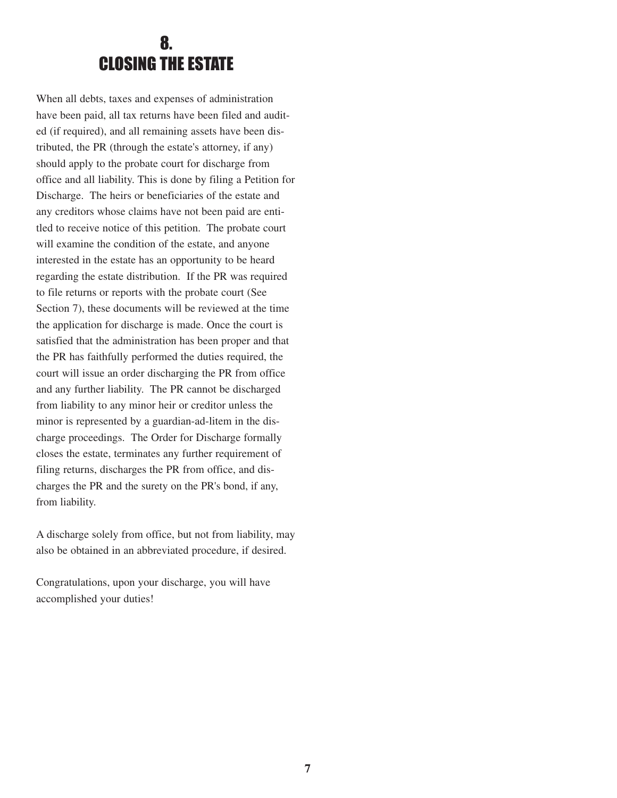#### 8. CLOSING THE ESTATE

When all debts, taxes and expenses of administration have been paid, all tax returns have been filed and audited (if required), and all remaining assets have been distributed, the PR (through the estate's attorney, if any) should apply to the probate court for discharge from office and all liability. This is done by filing a Petition for Discharge. The heirs or beneficiaries of the estate and any creditors whose claims have not been paid are entitled to receive notice of this petition. The probate court will examine the condition of the estate, and anyone interested in the estate has an opportunity to be heard regarding the estate distribution. If the PR was required to file returns or reports with the probate court (See Section 7), these documents will be reviewed at the time the application for discharge is made. Once the court is satisfied that the administration has been proper and that the PR has faithfully performed the duties required, the court will issue an order discharging the PR from office and any further liability. The PR cannot be discharged from liability to any minor heir or creditor unless the minor is represented by a guardian-ad-litem in the discharge proceedings. The Order for Discharge formally closes the estate, terminates any further requirement of filing returns, discharges the PR from office, and discharges the PR and the surety on the PR's bond, if any, from liability.

A discharge solely from office, but not from liability, may also be obtained in an abbreviated procedure, if desired.

Congratulations, upon your discharge, you will have accomplished your duties!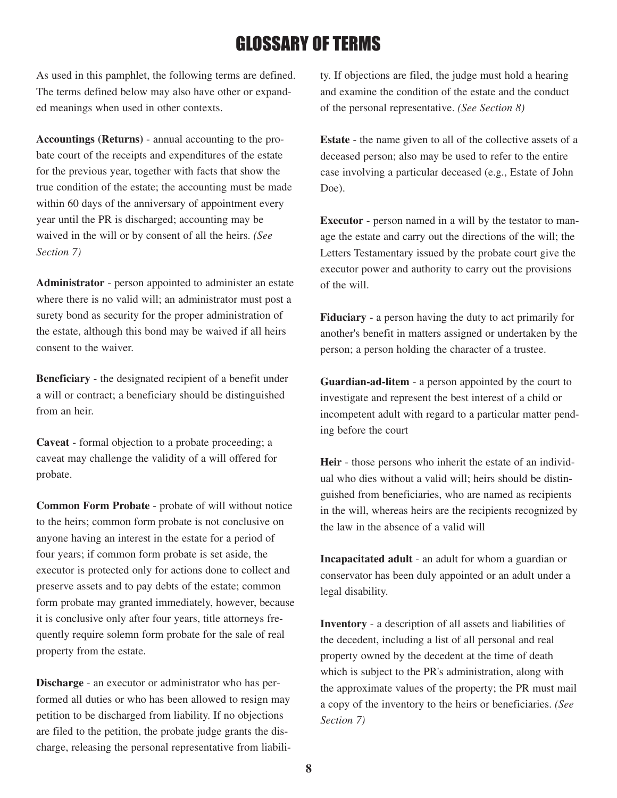## GLOSSARY OF TERMS

As used in this pamphlet, the following terms are defined. The terms defined below may also have other or expanded meanings when used in other contexts.

**Accountings (Returns)** - annual accounting to the probate court of the receipts and expenditures of the estate for the previous year, together with facts that show the true condition of the estate; the accounting must be made within 60 days of the anniversary of appointment every year until the PR is discharged; accounting may be waived in the will or by consent of all the heirs. *(See Section 7)*

**Administrator** - person appointed to administer an estate where there is no valid will; an administrator must post a surety bond as security for the proper administration of the estate, although this bond may be waived if all heirs consent to the waiver.

**Beneficiary** - the designated recipient of a benefit under a will or contract; a beneficiary should be distinguished from an heir.

**Caveat** - formal objection to a probate proceeding; a caveat may challenge the validity of a will offered for probate.

**Common Form Probate** - probate of will without notice to the heirs; common form probate is not conclusive on anyone having an interest in the estate for a period of four years; if common form probate is set aside, the executor is protected only for actions done to collect and preserve assets and to pay debts of the estate; common form probate may granted immediately, however, because it is conclusive only after four years, title attorneys frequently require solemn form probate for the sale of real property from the estate.

**Discharge** - an executor or administrator who has performed all duties or who has been allowed to resign may petition to be discharged from liability. If no objections are filed to the petition, the probate judge grants the discharge, releasing the personal representative from liability. If objections are filed, the judge must hold a hearing and examine the condition of the estate and the conduct of the personal representative. *(See Section 8)*

**Estate** - the name given to all of the collective assets of a deceased person; also may be used to refer to the entire case involving a particular deceased (e.g., Estate of John Doe).

**Executor** - person named in a will by the testator to manage the estate and carry out the directions of the will; the Letters Testamentary issued by the probate court give the executor power and authority to carry out the provisions of the will.

**Fiduciary** - a person having the duty to act primarily for another's benefit in matters assigned or undertaken by the person; a person holding the character of a trustee.

**Guardian-ad-litem** - a person appointed by the court to investigate and represent the best interest of a child or incompetent adult with regard to a particular matter pending before the court

**Heir** - those persons who inherit the estate of an individual who dies without a valid will; heirs should be distinguished from beneficiaries, who are named as recipients in the will, whereas heirs are the recipients recognized by the law in the absence of a valid will

**Incapacitated adult** - an adult for whom a guardian or conservator has been duly appointed or an adult under a legal disability.

**Inventory** - a description of all assets and liabilities of the decedent, including a list of all personal and real property owned by the decedent at the time of death which is subject to the PR's administration, along with the approximate values of the property; the PR must mail a copy of the inventory to the heirs or beneficiaries. *(See Section 7)*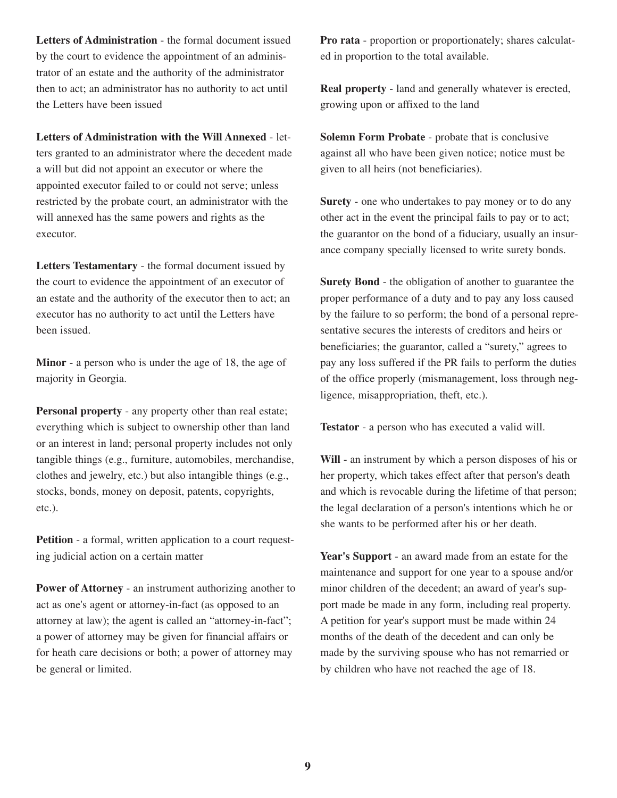**Letters of Administration** - the formal document issued by the court to evidence the appointment of an administrator of an estate and the authority of the administrator then to act; an administrator has no authority to act until the Letters have been issued

**Letters of Administration with the Will Annexed** - letters granted to an administrator where the decedent made a will but did not appoint an executor or where the appointed executor failed to or could not serve; unless restricted by the probate court, an administrator with the will annexed has the same powers and rights as the executor.

**Letters Testamentary** - the formal document issued by the court to evidence the appointment of an executor of an estate and the authority of the executor then to act; an executor has no authority to act until the Letters have been issued.

**Minor** - a person who is under the age of 18, the age of majority in Georgia.

**Personal property** - any property other than real estate; everything which is subject to ownership other than land or an interest in land; personal property includes not only tangible things (e.g., furniture, automobiles, merchandise, clothes and jewelry, etc.) but also intangible things (e.g., stocks, bonds, money on deposit, patents, copyrights, etc.).

**Petition** - a formal, written application to a court requesting judicial action on a certain matter

**Power of Attorney** - an instrument authorizing another to act as one's agent or attorney-in-fact (as opposed to an attorney at law); the agent is called an "attorney-in-fact"; a power of attorney may be given for financial affairs or for heath care decisions or both; a power of attorney may be general or limited.

**Pro rata** - proportion or proportionately; shares calculated in proportion to the total available.

**Real property** - land and generally whatever is erected, growing upon or affixed to the land

**Solemn Form Probate** - probate that is conclusive against all who have been given notice; notice must be given to all heirs (not beneficiaries).

**Surety** - one who undertakes to pay money or to do any other act in the event the principal fails to pay or to act; the guarantor on the bond of a fiduciary, usually an insurance company specially licensed to write surety bonds.

**Surety Bond** - the obligation of another to guarantee the proper performance of a duty and to pay any loss caused by the failure to so perform; the bond of a personal representative secures the interests of creditors and heirs or beneficiaries; the guarantor, called a "surety," agrees to pay any loss suffered if the PR fails to perform the duties of the office properly (mismanagement, loss through negligence, misappropriation, theft, etc.).

**Testator** - a person who has executed a valid will.

**Will** - an instrument by which a person disposes of his or her property, which takes effect after that person's death and which is revocable during the lifetime of that person; the legal declaration of a person's intentions which he or she wants to be performed after his or her death.

**Year's Support** - an award made from an estate for the maintenance and support for one year to a spouse and/or minor children of the decedent; an award of year's support made be made in any form, including real property. A petition for year's support must be made within 24 months of the death of the decedent and can only be made by the surviving spouse who has not remarried or by children who have not reached the age of 18.